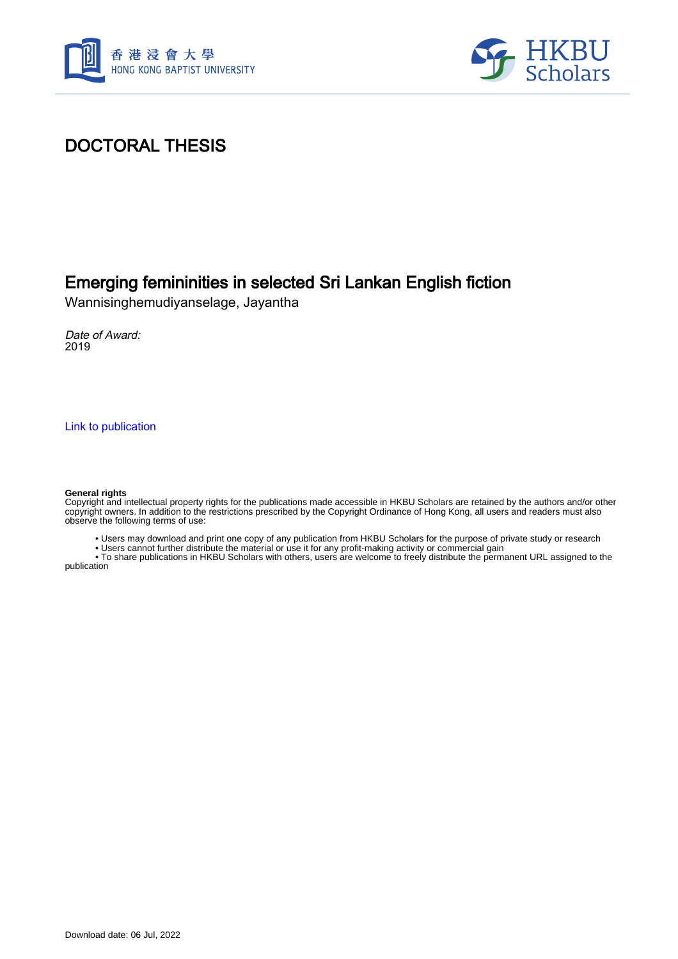



# DOCTORAL THESIS

## Emerging femininities in selected Sri Lankan English fiction

Wannisinghemudiyanselage, Jayantha

Date of Award: 2019

[Link to publication](https://scholars.hkbu.edu.hk/en/studentTheses/f86955dd-7e91-4df7-abd5-ed9ac8a9b9ac)

#### **General rights**

Copyright and intellectual property rights for the publications made accessible in HKBU Scholars are retained by the authors and/or other copyright owners. In addition to the restrictions prescribed by the Copyright Ordinance of Hong Kong, all users and readers must also observe the following terms of use:

• Users may download and print one copy of any publication from HKBU Scholars for the purpose of private study or research

• Users cannot further distribute the material or use it for any profit-making activity or commercial gain

 • To share publications in HKBU Scholars with others, users are welcome to freely distribute the permanent URL assigned to the publication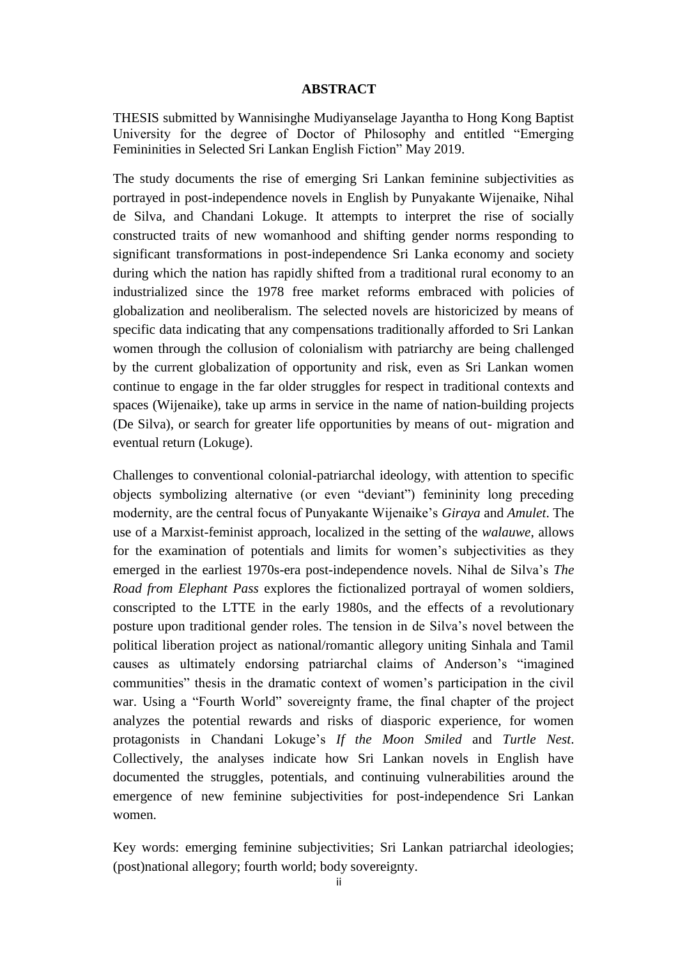### **ABSTRACT**

THESIS submitted by Wannisinghe Mudiyanselage Jayantha to Hong Kong Baptist University for the degree of Doctor of Philosophy and entitled "Emerging Femininities in Selected Sri Lankan English Fiction" May 2019.

The study documents the rise of emerging Sri Lankan feminine subjectivities as portrayed in post-independence novels in English by Punyakante Wijenaike, Nihal de Silva, and Chandani Lokuge. It attempts to interpret the rise of socially constructed traits of new womanhood and shifting gender norms responding to significant transformations in post-independence Sri Lanka economy and society during which the nation has rapidly shifted from a traditional rural economy to an industrialized since the 1978 free market reforms embraced with policies of globalization and neoliberalism. The selected novels are historicized by means of specific data indicating that any compensations traditionally afforded to Sri Lankan women through the collusion of colonialism with patriarchy are being challenged by the current globalization of opportunity and risk, even as Sri Lankan women continue to engage in the far older struggles for respect in traditional contexts and spaces (Wijenaike), take up arms in service in the name of nation-building projects (De Silva), or search for greater life opportunities by means of out- migration and eventual return (Lokuge).

Challenges to conventional colonial-patriarchal ideology, with attention to specific objects symbolizing alternative (or even "deviant") femininity long preceding modernity, are the central focus of Punyakante Wijenaike's *Giraya* and *Amulet*. The use of a Marxist-feminist approach, localized in the setting of the *walauwe*, allows for the examination of potentials and limits for women's subjectivities as they emerged in the earliest 1970s-era post-independence novels. Nihal de Silva's *The Road from Elephant Pass* explores the fictionalized portrayal of women soldiers, conscripted to the LTTE in the early 1980s, and the effects of a revolutionary posture upon traditional gender roles. The tension in de Silva's novel between the political liberation project as national/romantic allegory uniting Sinhala and Tamil causes as ultimately endorsing patriarchal claims of Anderson's "imagined communities" thesis in the dramatic context of women's participation in the civil war. Using a "Fourth World" sovereignty frame, the final chapter of the project analyzes the potential rewards and risks of diasporic experience, for women protagonists in Chandani Lokuge's *If the Moon Smiled* and *Turtle Nest*. Collectively, the analyses indicate how Sri Lankan novels in English have documented the struggles, potentials, and continuing vulnerabilities around the emergence of new feminine subjectivities for post-independence Sri Lankan women.

Key words: emerging feminine subjectivities; Sri Lankan patriarchal ideologies; (post)national allegory; fourth world; body sovereignty.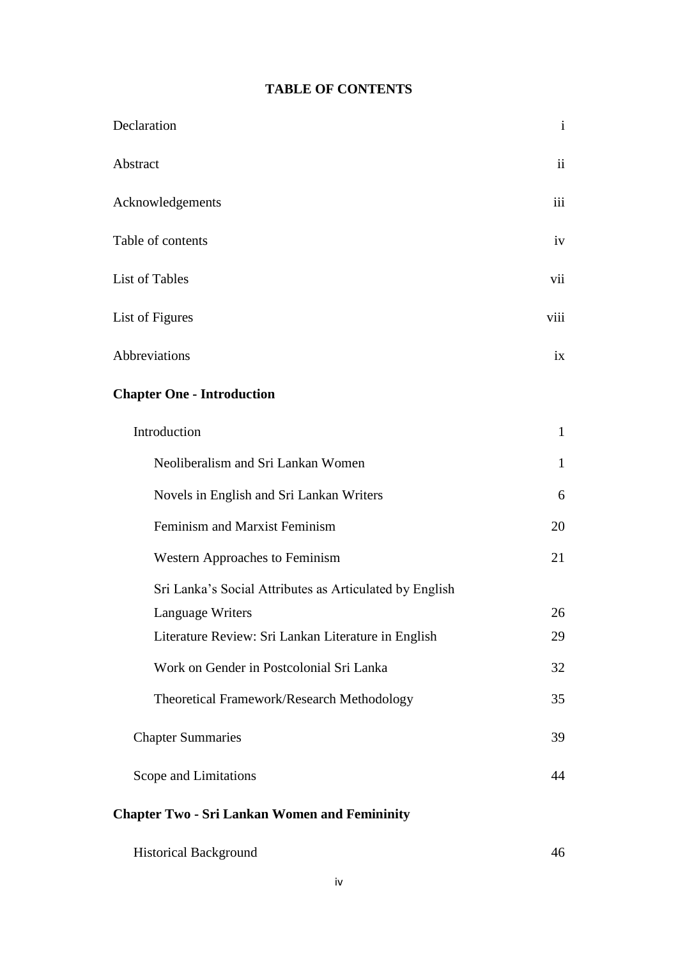### **TABLE OF CONTENTS**

| Declaration                                             | $\mathbf{i}$  |
|---------------------------------------------------------|---------------|
| Abstract                                                | $\mathbf{ii}$ |
| Acknowledgements                                        | iii           |
| Table of contents                                       | iv            |
| List of Tables                                          | vii           |
| List of Figures                                         | viii          |
| Abbreviations                                           | ix            |
| <b>Chapter One - Introduction</b>                       |               |
| Introduction                                            | $\mathbf{1}$  |
| Neoliberalism and Sri Lankan Women                      | $\mathbf{1}$  |
| Novels in English and Sri Lankan Writers                | 6             |
| Feminism and Marxist Feminism                           | 20            |
| <b>Western Approaches to Feminism</b>                   | 21            |
| Sri Lanka's Social Attributes as Articulated by English |               |
| Language Writers                                        | 26            |
| Literature Review: Sri Lankan Literature in English     | 29            |
| Work on Gender in Postcolonial Sri Lanka                | 32            |
| Theoretical Framework/Research Methodology              | 35            |
| <b>Chapter Summaries</b>                                | 39            |
| Scope and Limitations                                   | 44            |

### **Chapter Two - Sri Lankan Women and Femininity**

| <b>Historical Background</b> |  |
|------------------------------|--|
|------------------------------|--|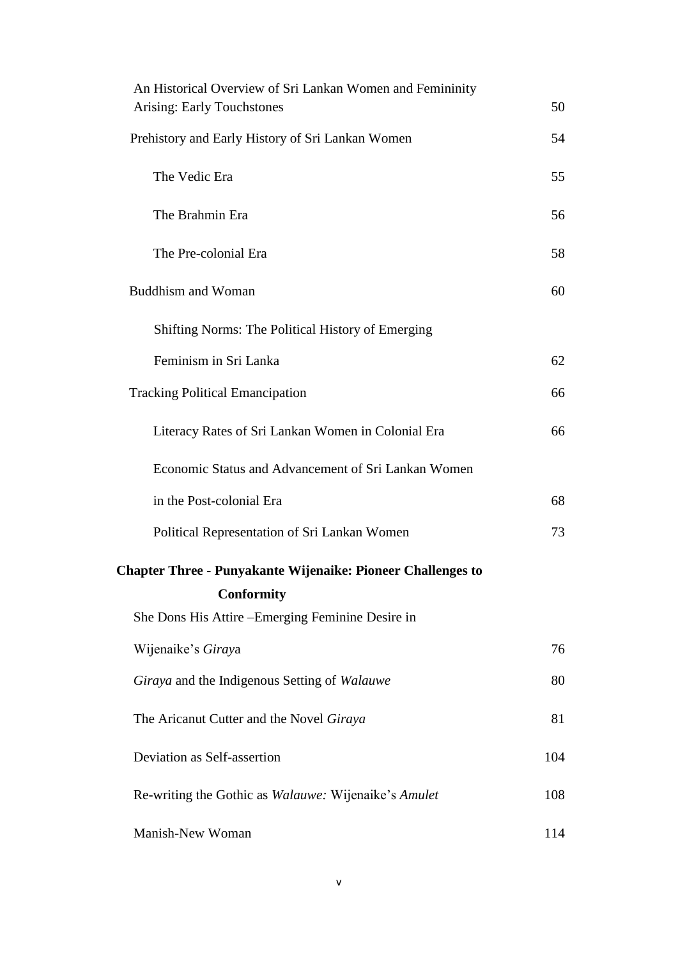| An Historical Overview of Sri Lankan Women and Femininity          |     |
|--------------------------------------------------------------------|-----|
| <b>Arising: Early Touchstones</b>                                  | 50  |
| Prehistory and Early History of Sri Lankan Women                   | 54  |
| The Vedic Era                                                      | 55  |
| The Brahmin Era                                                    | 56  |
| The Pre-colonial Era                                               | 58  |
| <b>Buddhism and Woman</b>                                          | 60  |
| Shifting Norms: The Political History of Emerging                  |     |
| Feminism in Sri Lanka                                              | 62  |
| <b>Tracking Political Emancipation</b>                             | 66  |
| Literacy Rates of Sri Lankan Women in Colonial Era                 | 66  |
| Economic Status and Advancement of Sri Lankan Women                |     |
| in the Post-colonial Era                                           | 68  |
| Political Representation of Sri Lankan Women                       | 73  |
| <b>Chapter Three - Punyakante Wijenaike: Pioneer Challenges to</b> |     |
| <b>Conformity</b>                                                  |     |
| She Dons His Attire – Emerging Feminine Desire in                  |     |
| Wijenaike's Giraya                                                 | 76  |
| Giraya and the Indigenous Setting of Walauwe                       | 80  |
| The Aricanut Cutter and the Novel Giraya                           | 81  |
| Deviation as Self-assertion                                        | 104 |
| Re-writing the Gothic as <i>Walauwe:</i> Wijenaike's <i>Amulet</i> | 108 |
| Manish-New Woman                                                   | 114 |